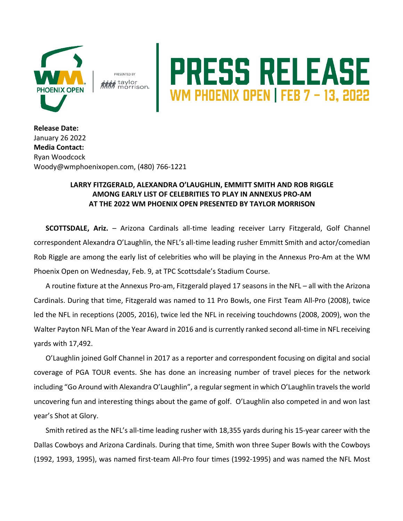

**PRESENTED BY** i taylor

## PRESS RELEASE

**Release Date:**  January 26 2022 **Media Contact:** Ryan Woodcock Woody@wmphoenixopen.com, (480) 766-1221

## **LARRY FITZGERALD, ALEXANDRA O'LAUGHLIN, EMMITT SMITH AND ROB RIGGLE AMONG EARLY LIST OF CELEBRITIES TO PLAY IN ANNEXUS PRO-AM AT THE 2022 WM PHOENIX OPEN PRESENTED BY TAYLOR MORRISON**

**SCOTTSDALE, Ariz.** – Arizona Cardinals all-time leading receiver Larry Fitzgerald, Golf Channel correspondent Alexandra O'Laughlin, the NFL's all-time leading rusher Emmitt Smith and actor/comedian Rob Riggle are among the early list of celebrities who will be playing in the Annexus Pro-Am at the WM Phoenix Open on Wednesday, Feb. 9, at TPC Scottsdale's Stadium Course.

A routine fixture at the Annexus Pro-am, Fitzgerald played 17 seasons in the NFL – all with the Arizona Cardinals. During that time, Fitzgerald was named to 11 Pro Bowls, one First Team All-Pro (2008), twice led the NFL in receptions (2005, 2016), twice led the NFL in receiving touchdowns (2008, 2009), won the Walter Payton NFL Man of the Year Award in 2016 and is currently ranked second all-time in NFL receiving yards with 17,492.

O'Laughlin joined Golf Channel in 2017 as a reporter and correspondent focusing on digital and social coverage of PGA TOUR events. She has done an increasing number of travel pieces for the network including "Go Around with Alexandra O'Laughlin", a regular segment in which O'Laughlin travels the world uncovering fun and interesting things about the game of golf. O'Laughlin also competed in and won last year's Shot at Glory.

Smith retired as the NFL's all-time leading rusher with 18,355 yards during his 15-year career with the Dallas Cowboys and Arizona Cardinals. During that time, Smith won three Super Bowls with the Cowboys (1992, 1993, 1995), was named first-team All-Pro four times (1992-1995) and was named the NFL Most